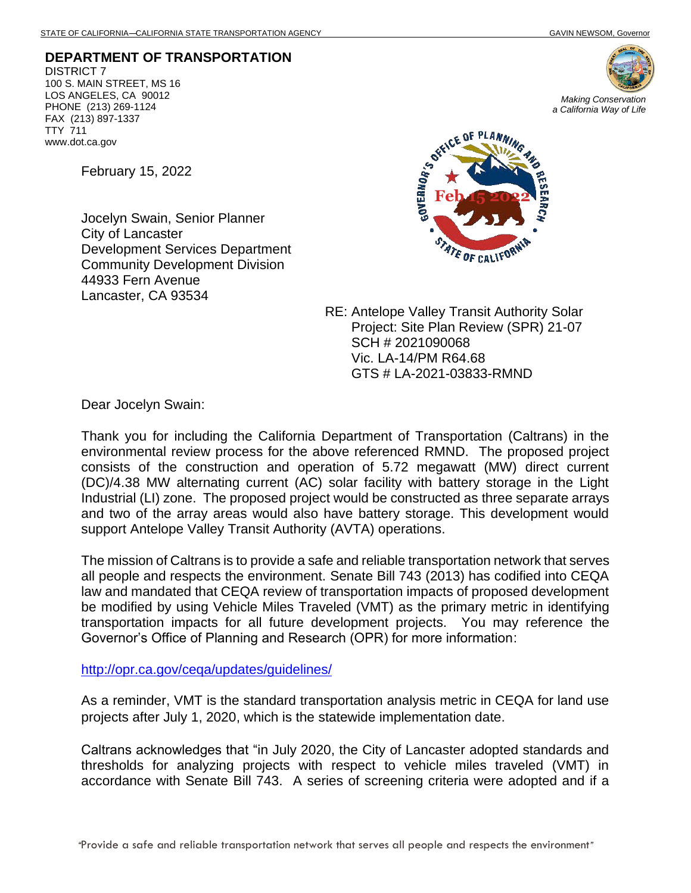**DEPARTMENT OF TRANSPORTATION** DISTRICT 7 100 S. MAIN STREET, MS 16 LOS ANGELES, CA 90012 PHONE (213) 269-1124 FAX (213) 897-1337 TTY 711 www.dot.ca.gov

*Making Conservation a California Way of Life*

February 15, 2022

Jocelyn Swain, Senior Planner City of Lancaster Development Services Department Community Development Division 44933 Fern Avenue Lancaster, CA 93534



RE: Antelope Valley Transit Authority Solar Project: Site Plan Review (SPR) 21-07 SCH # 2021090068 Vic. LA-14/PM R64.68 GTS # LA-2021-03833-RMND

Dear Jocelyn Swain:

Thank you for including the California Department of Transportation (Caltrans) in the environmental review process for the above referenced RMND. The proposed project consists of the construction and operation of 5.72 megawatt (MW) direct current (DC)/4.38 MW alternating current (AC) solar facility with battery storage in the Light Industrial (LI) zone. The proposed project would be constructed as three separate arrays and two of the array areas would also have battery storage. This development would support Antelope Valley Transit Authority (AVTA) operations.

The mission of Caltrans is to provide a safe and reliable transportation network that serves all people and respects the environment. Senate Bill 743 (2013) has codified into CEQA law and mandated that CEQA review of transportation impacts of proposed development be modified by using Vehicle Miles Traveled (VMT) as the primary metric in identifying transportation impacts for all future development projects. You may reference the Governor's Office of Planning and Research (OPR) for more information:

<http://opr.ca.gov/ceqa/updates/guidelines/>

As a reminder, VMT is the standard transportation analysis metric in CEQA for land use projects after July 1, 2020, which is the statewide implementation date.

Caltrans acknowledges that "in July 2020, the City of Lancaster adopted standards and thresholds for analyzing projects with respect to vehicle miles traveled (VMT) in accordance with Senate Bill 743. A series of screening criteria were adopted and if a